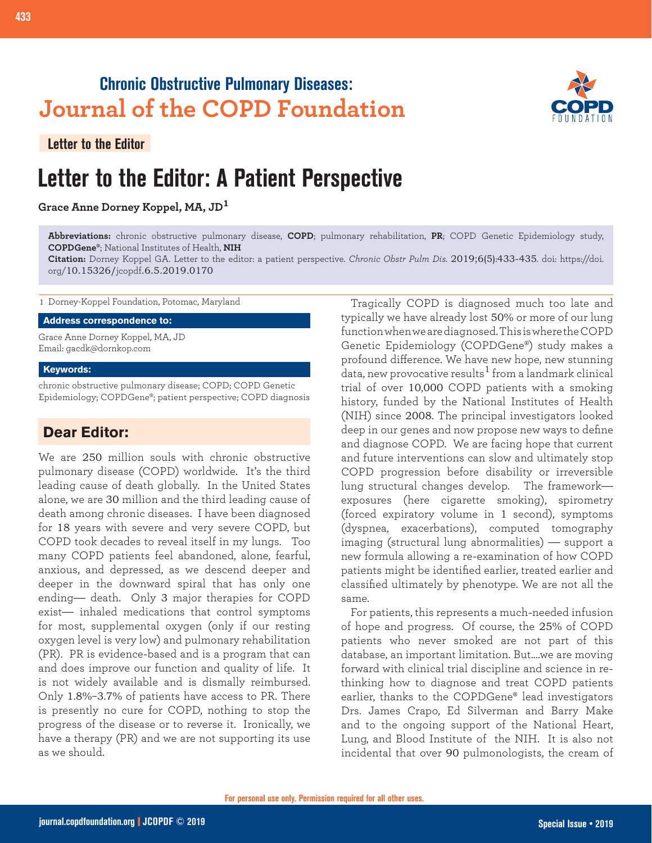## **Chronic Obstructive Pulmonary Diseases: Journal of the COPD Foundation**

**Letter to the Editor**

# **Letter to the Editor: A Patient Perspective**

### **Grace Anne Dorney Koppel, MA, JD<sup>1</sup>**



**Abbreviations:** chronic obstructive pulmonary disease, **COPD**; pulmonary rehabilitation, **PR**; COPD Genetic Epidemiology study, **COPDGene®**; National Institutes of Health, **NIH**

**Citation:** Dorney Koppel GA. Letter to the editor: a patient perspective. *Chronic Obstr Pulm Dis*. 2019;6(5):433-435. doi: https://doi. org/10.15326/jcopdf.6.5.2019.0170

1 Dorney-Koppel Foundation, Potomac, Maryland

#### **Address correspondence to:**

Grace Anne Dorney Koppel, MA, JD Email: gacdk@dornkop.com

#### **Keywords:**

chronic obstructive pulmonary disease; COPD; COPD Genetic Epidemiology; COPDGene®; patient perspective; COPD diagnosis

## **Dear Editor:**

We are 250 million souls with chronic obstructive pulmonary disease (COPD) worldwide. It's the third leading cause of death globally. In the United States alone, we are 30 million and the third leading cause of death among chronic diseases. I have been diagnosed for 18 years with severe and very severe COPD, but COPD took decades to reveal itself in my lungs. Too many COPD patients feel abandoned, alone, fearful, anxious, and depressed, as we descend deeper and deeper in the downward spiral that has only one ending— death. Only 3 major therapies for COPD exist— inhaled medications that control symptoms for most, supplemental oxygen (only if our resting oxygen level is very low) and pulmonary rehabilitation (PR). PR is evidence-based and is a program that can and does improve our function and quality of life. It is not widely available and is dismally reimbursed. Only 1.8%–3.7% of patients have access to PR. There is presently no cure for COPD, nothing to stop the progress of the disease or to reverse it. Ironically, we have a therapy (PR) and we are not supporting its use as we should.

Tragically COPD is diagnosed much too late and typically we have already lost 50% or more of our lung function when we are diagnosed. This is where the COPD Genetic Epidemiology (COPDGene®) study makes a profound difference. We have new hope, new stunning data, new provocative results $^1$  from a landmark clinical trial of over 10,000 COPD patients with a smoking history, funded by the National Institutes of Health (NIH) since 2008. The principal investigators looked deep in our genes and now propose new ways to define and diagnose COPD. We are facing hope that current and future interventions can slow and ultimately stop COPD progression before disability or irreversible lung structural changes develop. The framework exposures (here cigarette smoking), spirometry (forced expiratory volume in 1 second), symptoms (dyspnea, exacerbations), computed tomography imaging (structural lung abnormalities) — support a new formula allowing a re-examination of how COPD patients might be identified earlier, treated earlier and classified ultimately by phenotype. We are not all the same.

For patients, this represents a much-needed infusion of hope and progress. Of course, the 25% of COPD patients who never smoked are not part of this database, an important limitation. But….we are moving forward with clinical trial discipline and science in rethinking how to diagnose and treat COPD patients earlier, thanks to the COPDGene® lead investigators Drs. James Crapo, Ed Silverman and Barry Make and to the ongoing support of the National Heart, Lung, and Blood Institute of the NIH. It is also not incidental that over 90 pulmonologists, the cream of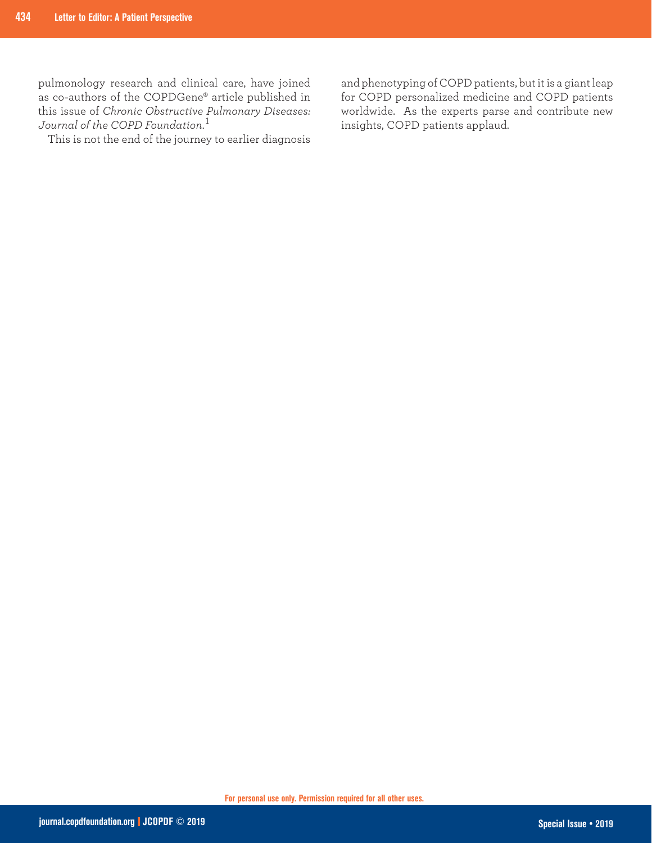pulmonology research and clinical care, have joined as co-authors of the COPDGene® article published in this issue of *Chronic Obstructive Pulmonary Diseases: Journal of the COPD Foundation*. 1

This is not the end of the journey to earlier diagnosis

and phenotyping of COPD patients, but it is a giant leap for COPD personalized medicine and COPD patients worldwide. As the experts parse and contribute new insights, COPD patients applaud.